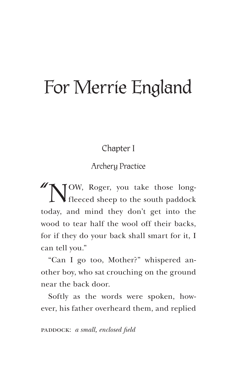Chapter I

Archery Practice

"NOW, Roger, you take those long-fleeced sheep to the south paddock today, and mind they don't get into the wood to tear half the wool off their backs, for if they do your back shall smart for it, I can tell you."

"Can I go too, Mother?" whispered another boy, who sat crouching on the ground near the back door.

Softly as the words were spoken, however, his father overheard them, and replied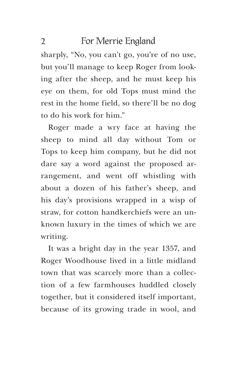sharply, "No, you can't go, you're of no use, but you'll manage to keep Roger from looking after the sheep, and he must keep his eye on them, for old Tops must mind the rest in the home field, so there'll be no dog to do his work for him."

Roger made a wry face at having the sheep to mind all day without Tom or Tops to keep him company, but he did not dare say a word against the proposed arrangement, and went off whistling with about a dozen of his father's sheep, and his day's provisions wrapped in a wisp of straw, for cotton handkerchiefs were an unknown luxury in the times of which we are writing.

It was a bright day in the year 1357, and Roger Woodhouse lived in a little midland town that was scarcely more than a collection of a few farmhouses huddled closely together, but it considered itself important, because of its growing trade in wool, and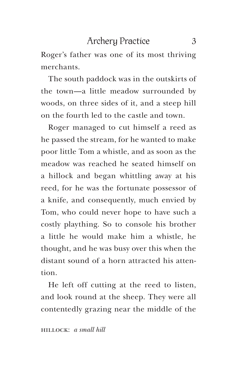Roger's father was one of its most thriving merchants.

The south paddock was in the outskirts of the town—a little meadow surrounded by woods, on three sides of it, and a steep hill on the fourth led to the castle and town.

Roger managed to cut himself a reed as he passed the stream, for he wanted to make poor little Tom a whistle, and as soon as the meadow was reached he seated himself on a hillock and began whittling away at his reed, for he was the fortunate possessor of a knife, and consequently, much envied by Tom, who could never hope to have such a costly plaything. So to console his brother a little he would make him a whistle, he thought, and he was busy over this when the distant sound of a horn attracted his attention.

He left off cutting at the reed to listen, and look round at the sheep. They were all contentedly grazing near the middle of the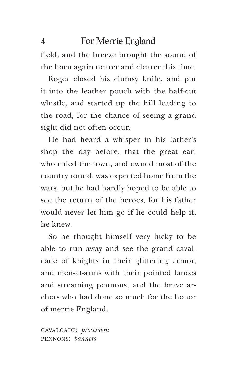field, and the breeze brought the sound of the horn again nearer and clearer this time.

Roger closed his clumsy knife, and put it into the leather pouch with the half-cut whistle, and started up the hill leading to the road, for the chance of seeing a grand sight did not often occur.

He had heard a whisper in his father's shop the day before, that the great earl who ruled the town, and owned most of the country round, was expected home from the wars, but he had hardly hoped to be able to see the return of the heroes, for his father would never let him go if he could help it, he knew.

So he thought himself very lucky to be able to run away and see the grand cavalcade of knights in their glittering armor, and men-at-arms with their pointed lances and streaming pennons, and the brave archers who had done so much for the honor of merrie England.

cavalcade: *procession*  pennons: *banners*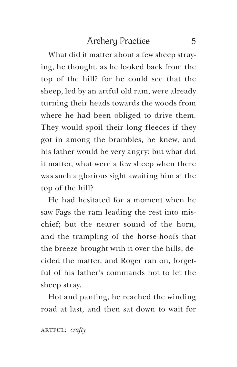What did it matter about a few sheep straying, he thought, as he looked back from the top of the hill? for he could see that the sheep, led by an artful old ram, were already turning their heads towards the woods from where he had been obliged to drive them. They would spoil their long fleeces if they got in among the brambles, he knew, and his father would be very angry; but what did it matter, what were a few sheep when there was such a glorious sight awaiting him at the top of the hill?

He had hesitated for a moment when he saw Fags the ram leading the rest into mischief; but the nearer sound of the horn, and the trampling of the horse-hoofs that the breeze brought with it over the hills, decided the matter, and Roger ran on, forgetful of his father's commands not to let the sheep stray.

Hot and panting, he reached the winding road at last, and then sat down to wait for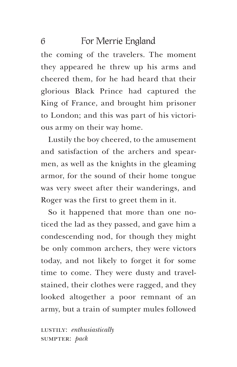the coming of the travelers. The moment they appeared he threw up his arms and cheered them, for he had heard that their glorious Black Prince had captured the King of France, and brought him prisoner to London; and this was part of his victorious army on their way home.

Lustily the boy cheered, to the amusement and satisfaction of the archers and spearmen, as well as the knights in the gleaming armor, for the sound of their home tongue was very sweet after their wanderings, and Roger was the first to greet them in it.

So it happened that more than one noticed the lad as they passed, and gave him a condescending nod, for though they might be only common archers, they were victors today, and not likely to forget it for some time to come. They were dusty and travelstained, their clothes were ragged, and they looked altogether a poor remnant of an army, but a train of sumpter mules followed

lustily: *enthusiastically* sumpter: *pack*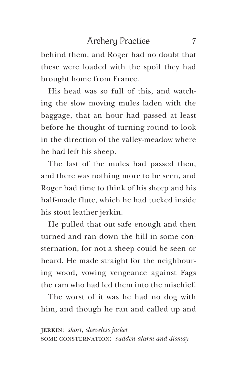behind them, and Roger had no doubt that these were loaded with the spoil they had brought home from France.

His head was so full of this, and watching the slow moving mules laden with the baggage, that an hour had passed at least before he thought of turning round to look in the direction of the valley-meadow where he had left his sheep.

The last of the mules had passed then, and there was nothing more to be seen, and Roger had time to think of his sheep and his half-made flute, which he had tucked inside his stout leather jerkin.

He pulled that out safe enough and then turned and ran down the hill in some consternation, for not a sheep could be seen or heard. He made straight for the neighbouring wood, vowing vengeance against Fags the ram who had led them into the mischief.

The worst of it was he had no dog with him, and though he ran and called up and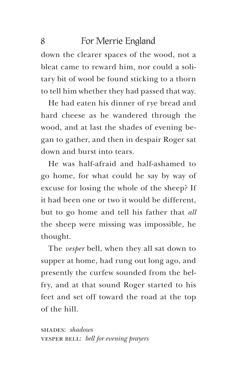down the clearer spaces of the wood, not a bleat came to reward him, nor could a solitary bit of wool be found sticking to a thorn to tell him whether they had passed that way.

He had eaten his dinner of rye bread and hard cheese as he wandered through the wood, and at last the shades of evening began to gather, and then in despair Roger sat down and burst into tears.

He was half-afraid and half-ashamed to go home, for what could he say by way of excuse for losing the whole of the sheep? If it had been one or two it would be different, but to go home and tell his father that *all* the sheep were missing was impossible, he thought.

The *vesper* bell, when they all sat down to supper at home, had rung out long ago, and presently the curfew sounded from the belfry, and at that sound Roger started to his feet and set off toward the road at the top of the hill.

shades: *shadows*  vesper bell: *bell for evening prayers*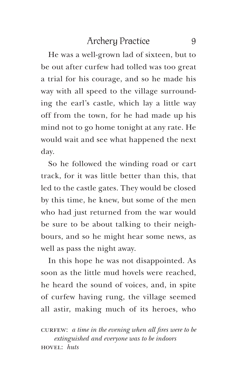He was a well-grown lad of sixteen, but to be out after curfew had tolled was too great a trial for his courage, and so he made his way with all speed to the village surrounding the earl's castle, which lay a little way off from the town, for he had made up his mind not to go home tonight at any rate. He would wait and see what happened the next day.

So he followed the winding road or cart track, for it was little better than this, that led to the castle gates. They would be closed by this time, he knew, but some of the men who had just returned from the war would be sure to be about talking to their neighbours, and so he might hear some news, as well as pass the night away.

In this hope he was not disappointed. As soon as the little mud hovels were reached, he heard the sound of voices, and, in spite of curfew having rung, the village seemed all astir, making much of its heroes, who

curfampoonup *curfew: a time in the evening when all fires were to be extinguished and everyone was to be indoors* hovel: *huts*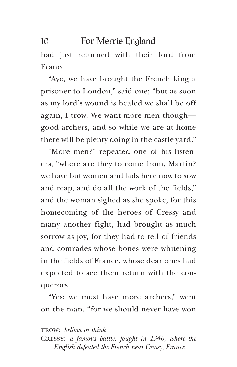had just returned with their lord from France.

"Aye, we have brought the French king a prisoner to London," said one; "but as soon as my lord's wound is healed we shall be off again, I trow. We want more men though good archers, and so while we are at home there will be plenty doing in the castle yard."

"More men?" repeated one of his listeners; "where are they to come from, Martin? we have but women and lads here now to sow and reap, and do all the work of the fields," and the woman sighed as she spoke, for this homecoming of the heroes of Cressy and many another fight, had brought as much sorrow as joy, for they had to tell of friends and comrades whose bones were whitening in the fields of France, whose dear ones had expected to see them return with the conquerors.

"Yes; we must have more archers," went on the man, "for we should never have won

#### trow: *believe or think*

Cressy: *a famous battle, fought in 1346, where the English defeated the French near Cressy, France*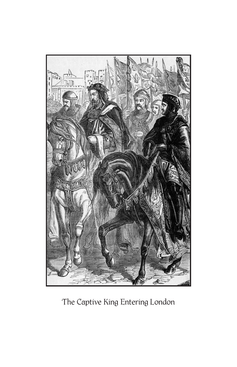

The Captive King Entering London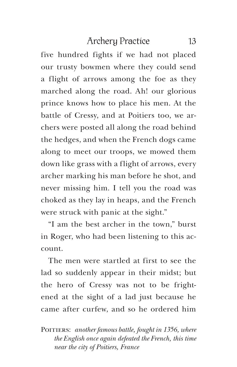five hundred fights if we had not placed our trusty bowmen where they could send a flight of arrows among the foe as they marched along the road. Ah! our glorious prince knows how to place his men. At the battle of Cressy, and at Poitiers too, we archers were posted all along the road behind the hedges, and when the French dogs came along to meet our troops, we mowed them down like grass with a flight of arrows, every archer marking his man before he shot, and never missing him. I tell you the road was choked as they lay in heaps, and the French were struck with panic at the sight."

"I am the best archer in the town," burst in Roger, who had been listening to this account.

The men were startled at first to see the lad so suddenly appear in their midst; but the hero of Cressy was not to be frightened at the sight of a lad just because he came after curfew, and so he ordered him

POITIERS: *another famous battle, fought in 1356, where the English once again defeated the French, this time near the city of Poitiers, France*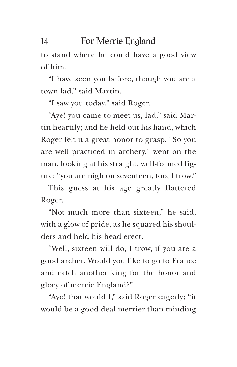to stand where he could have a good view of him.

"I have seen you before, though you are a town lad," said Martin.

"I saw you today," said Roger.

"Aye! you came to meet us, lad," said Martin heartily; and he held out his hand, which Roger felt it a great honor to grasp. "So you are well practiced in archery," went on the man, looking at his straight, well-formed figure; "you are nigh on seventeen, too, I trow."

This guess at his age greatly flattered Roger.

"Not much more than sixteen," he said, with a glow of pride, as he squared his shoulders and held his head erect.

"Well, sixteen will do, I trow, if you are a good archer. Would you like to go to France and catch another king for the honor and glory of merrie England?"

"Aye! that would I," said Roger eagerly; "it would be a good deal merrier than minding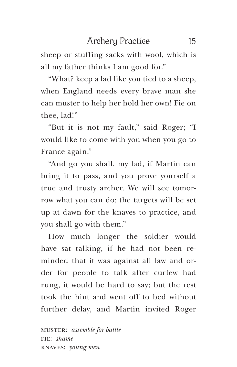sheep or stuffing sacks with wool, which is all my father thinks I am good for."

"What? keep a lad like you tied to a sheep, when England needs every brave man she can muster to help her hold her own! Fie on thee, lad!"

"But it is not my fault," said Roger; "I would like to come with you when you go to France again."

"And go you shall, my lad, if Martin can bring it to pass, and you prove yourself a true and trusty archer. We will see tomorrow what you can do; the targets will be set up at dawn for the knaves to practice, and you shall go with them."

How much longer the soldier would have sat talking, if he had not been reminded that it was against all law and order for people to talk after curfew had rung, it would be hard to say; but the rest took the hint and went off to bed without further delay, and Martin invited Roger

muster: *assemble for battle* fie: *shame*  knaves: *young men*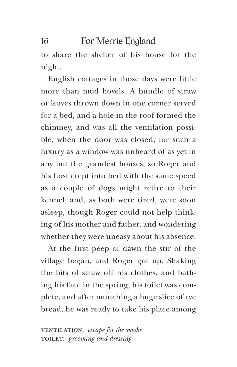to share the shelter of his house for the night.

English cottages in those days were little more than mud hovels. A bundle of straw or leaves thrown down in one corner served for a bed, and a hole in the roof formed the chimney, and was all the ventilation possible, when the door was closed, for such a luxury as a window was unheard of as yet in any but the grandest houses; so Roger and his host crept into bed with the same speed as a couple of dogs might retire to their kennel, and, as both were tired, were soon asleep, though Roger could not help thinking of his mother and father, and wondering whether they were uneasy about his absence.

At the first peep of dawn the stir of the village began, and Roger got up. Shaking the bits of straw off his clothes, and bathing his face in the spring, his toilet was complete, and after munching a huge slice of rye bread, he was ready to take his place among

ventilation: *escape for the smoke* toilet: *grooming and dressing*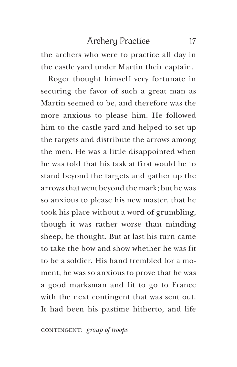the archers who were to practice all day in the castle yard under Martin their captain.

Roger thought himself very fortunate in securing the favor of such a great man as Martin seemed to be, and therefore was the more anxious to please him. He followed him to the castle yard and helped to set up the targets and distribute the arrows among the men. He was a little disappointed when he was told that his task at first would be to stand beyond the targets and gather up the arrows that went beyond the mark; but he was so anxious to please his new master, that he took his place without a word of grumbling, though it was rather worse than minding sheep, he thought. But at last his turn came to take the bow and show whether he was fit to be a soldier. His hand trembled for a moment, he was so anxious to prove that he was a good marksman and fit to go to France with the next contingent that was sent out. It had been his pastime hitherto, and life

contingent: *group* of troops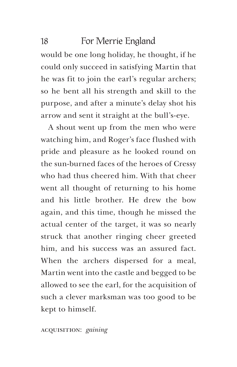would be one long holiday, he thought, if he could only succeed in satisfying Martin that he was fit to join the earl's regular archers; so he bent all his strength and skill to the purpose, and after a minute's delay shot his arrow and sent it straight at the bull's-eye.

A shout went up from the men who were watching him, and Roger's face flushed with pride and pleasure as he looked round on the sun-burned faces of the heroes of Cressy who had thus cheered him. With that cheer went all thought of returning to his home and his little brother. He drew the bow again, and this time, though he missed the actual center of the target, it was so nearly struck that another ringing cheer greeted him, and his success was an assured fact. When the archers dispersed for a meal, Martin went into the castle and begged to be allowed to see the earl, for the acquisition of such a clever marksman was too good to be kept to himself.

#### acquisition: *gaining*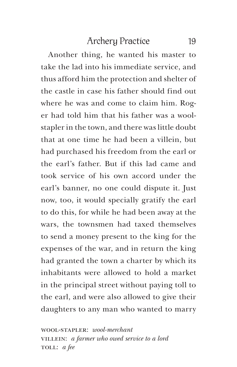Another thing, he wanted his master to take the lad into his immediate service, and thus afford him the protection and shelter of the castle in case his father should find out where he was and come to claim him. Roger had told him that his father was a woolstapler in the town, and there was little doubt that at one time he had been a villein, but had purchased his freedom from the earl or the earl's father. But if this lad came and took service of his own accord under the earl's banner, no one could dispute it. Just now, too, it would specially gratify the earl to do this, for while he had been away at the wars, the townsmen had taxed themselves to send a money present to the king for the expenses of the war, and in return the king had granted the town a charter by which its inhabitants were allowed to hold a market in the principal street without paying toll to the earl, and were also allowed to give their daughters to any man who wanted to marry

wool-stapler: *wool-merchant*  villein: *a farmer who owed service to a lord* toll: *a fee*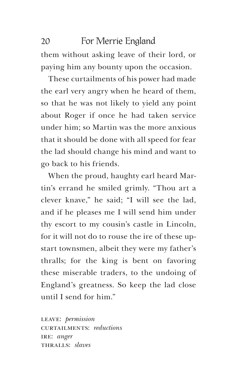them without asking leave of their lord, or paying him any bounty upon the occasion.

These curtailments of his power had made the earl very angry when he heard of them, so that he was not likely to yield any point about Roger if once he had taken service under him; so Martin was the more anxious that it should be done with all speed for fear the lad should change his mind and want to go back to his friends.

When the proud, haughty earl heard Martin's errand he smiled grimly. "Thou art a clever knave," he said; "I will see the lad, and if he pleases me I will send him under thy escort to my cousin's castle in Lincoln, for it will not do to rouse the ire of these upstart townsmen, albeit they were my father's thralls; for the king is bent on favoring these miserable traders, to the undoing of England's greatness. So keep the lad close until I send for him."

leave: *permission*  curtailments: *reductions*  IRE: *anger* thralls: *slaves*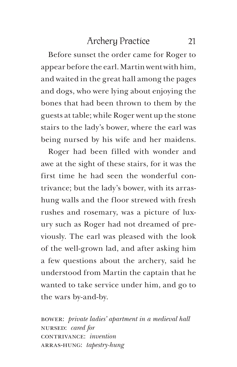Before sunset the order came for Roger to appear before the earl. Martin went with him, and waited in the great hall among the pages and dogs, who were lying about enjoying the bones that had been thrown to them by the guests at table; while Roger went up the stone stairs to the lady's bower, where the earl was being nursed by his wife and her maidens.

Roger had been filled with wonder and awe at the sight of these stairs, for it was the first time he had seen the wonderful contrivance; but the lady's bower, with its arrashung walls and the floor strewed with fresh rushes and rosemary, was a picture of luxury such as Roger had not dreamed of previously. The earl was pleased with the look of the well-grown lad, and after asking him a few questions about the archery, said he understood from Martin the captain that he wanted to take service under him, and go to the wars by-and-by.

bower: *private ladies' apartment in a medieval hall*  nursed: *cared for*  contrivance: *invention* arras-hung: *tapestry-hung*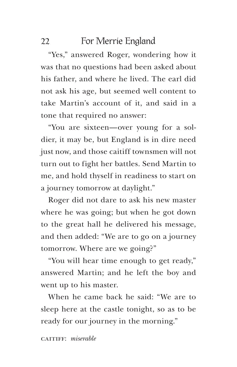"Yes," answered Roger, wondering how it was that no questions had been asked about his father, and where he lived. The earl did not ask his age, but seemed well content to take Martin's account of it, and said in a tone that required no answer:

"You are sixteen—over young for a soldier, it may be, but England is in dire need just now, and those caitiff townsmen will not turn out to fight her battles. Send Martin to me, and hold thyself in readiness to start on a journey tomorrow at daylight."

Roger did not dare to ask his new master where he was going; but when he got down to the great hall he delivered his message, and then added: "We are to go on a journey tomorrow. Where are we going?"

"You will hear time enough to get ready," answered Martin; and he left the boy and went up to his master.

When he came back he said: "We are to sleep here at the castle tonight, so as to be ready for our journey in the morning."

caitiff: *miserable*